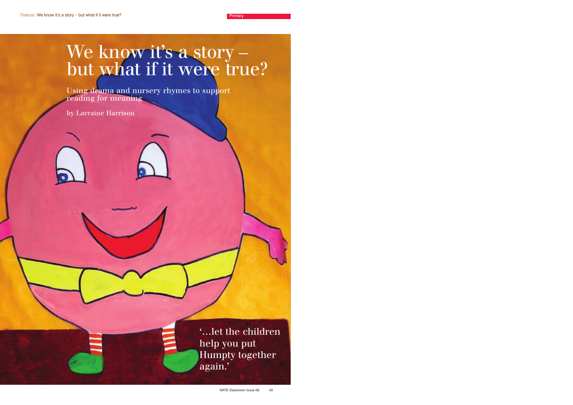# We know it's a story – but what if it were true?

Using drama and nursery rhymes to support reading for meaning

by Larraine Harrison

'…let the children help you put Humpty together again.'